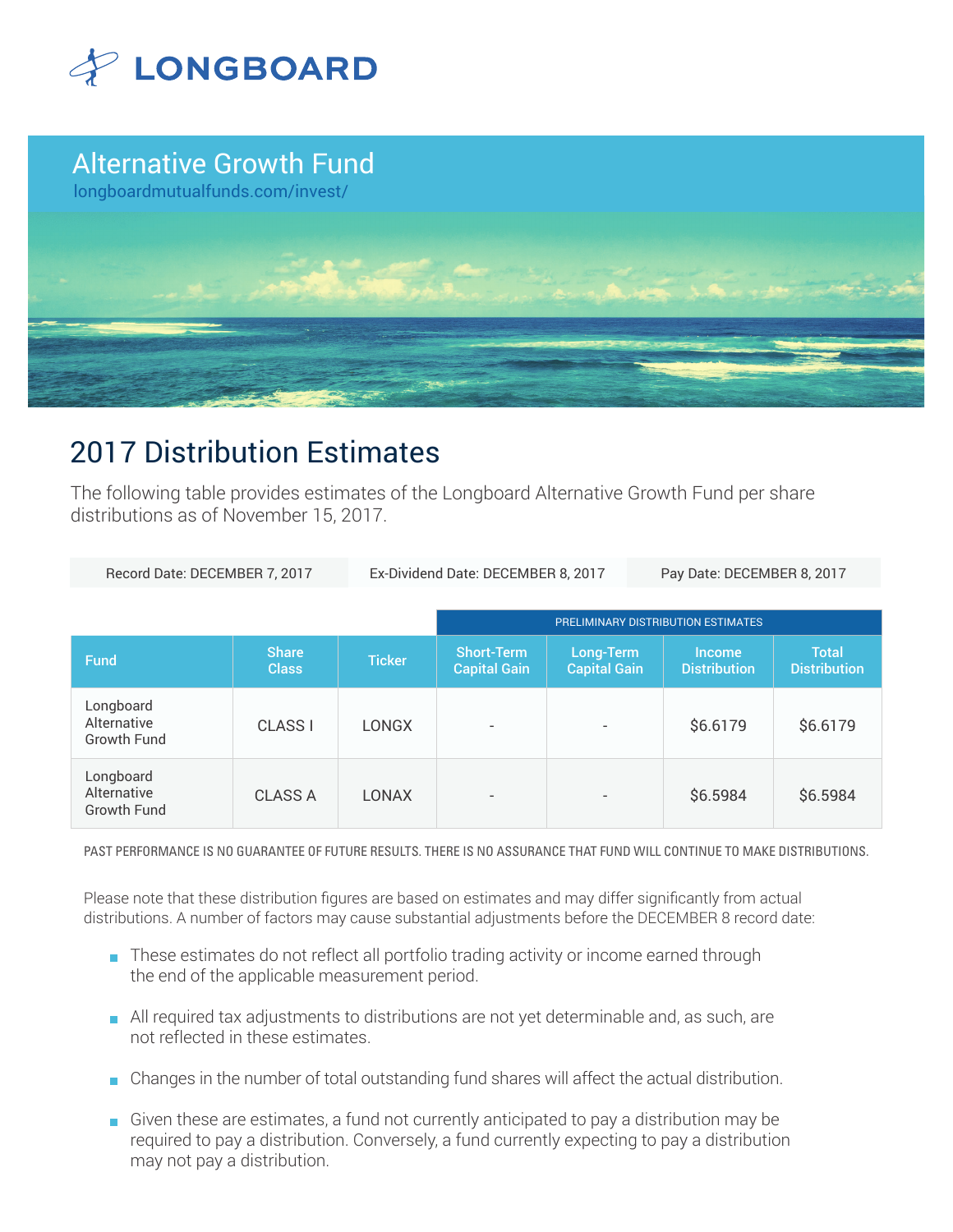

## Alternative Growth Fund

longboardmutualfunds.com/invest/



# 2017 Distribution Estimates

The following table provides estimates of the Longboard Alternative Growth Fund per share distributions as of November 15, 2017.

| Record Date: DECEMBER 7, 2017                  |                              | Ex-Dividend Date: DECEMBER 8, 2017 |                                          |                                  | Pay Date: DECEMBER 8, 2017           |                                     |
|------------------------------------------------|------------------------------|------------------------------------|------------------------------------------|----------------------------------|--------------------------------------|-------------------------------------|
|                                                |                              |                                    | PRELIMINARY DISTRIBUTION ESTIMATES       |                                  |                                      |                                     |
| <b>Fund</b>                                    | <b>Share</b><br><b>Class</b> | <b>Ticker</b>                      | <b>Short-Term</b><br><b>Capital Gain</b> | Long-Term<br><b>Capital Gain</b> | <b>Income</b><br><b>Distribution</b> | <b>Total</b><br><b>Distribution</b> |
| Longboard<br>Alternative<br><b>Growth Fund</b> | <b>CLASS I</b>               | <b>LONGX</b>                       | $\overline{\phantom{a}}$                 |                                  | \$6.6179                             | \$6.6179                            |
| Longboard<br>Alternative<br><b>Growth Fund</b> | <b>CLASS A</b>               | <b>LONAX</b>                       | $\overline{\phantom{a}}$                 |                                  | \$6.5984                             | \$6.5984                            |

PAST PERFORMANCE IS NO GUARANTEE OF FUTURE RESULTS. THERE IS NO ASSURANCE THAT FUND WILL CONTINUE TO MAKE DISTRIBUTIONS.

Please note that these distribution figures are based on estimates and may differ significantly from actual distributions. A number of factors may cause substantial adjustments before the DECEMBER 8 record date:

- These estimates do not reflect all portfolio trading activity or income earned through the end of the applicable measurement period.
- All required tax adjustments to distributions are not yet determinable and, as such, are not reflected in these estimates.
- Changes in the number of total outstanding fund shares will affect the actual distribution.
- Given these are estimates, a fund not currently anticipated to pay a distribution may be required to pay a distribution. Conversely, a fund currently expecting to pay a distribution may not pay a distribution.